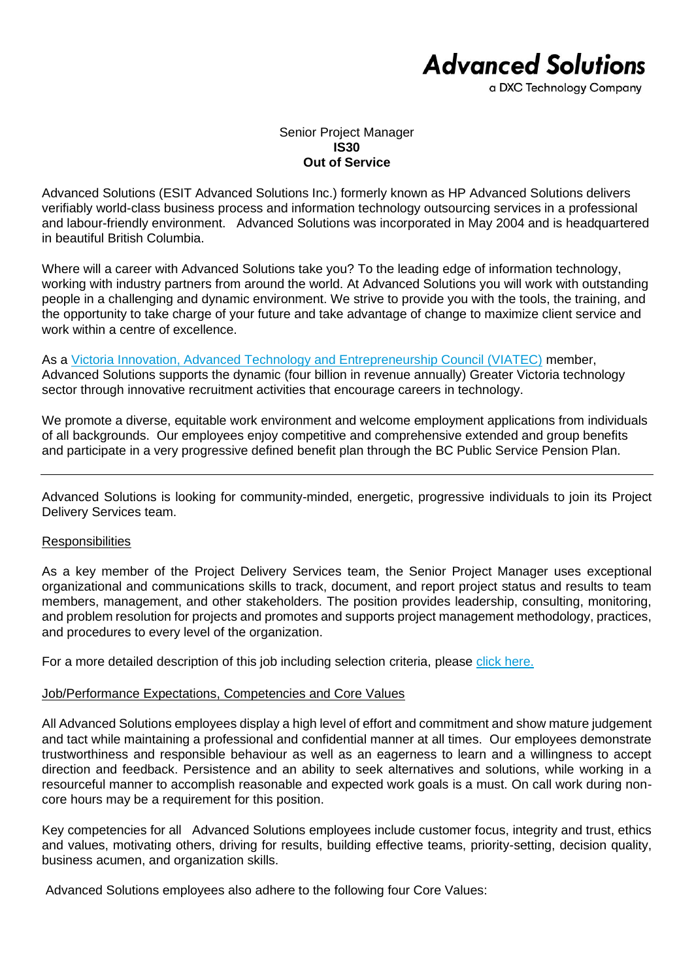# **Advanced Solutions**

a DXC Technology Company

## Senior Project Manager **IS30 Out of Service**

Advanced Solutions (ESIT Advanced Solutions Inc.) formerly known as HP Advanced Solutions delivers verifiably world-class business process and information technology outsourcing services in a professional and labour-friendly environment. Advanced Solutions was incorporated in May 2004 and is headquartered in beautiful British Columbia.

Where will a career with Advanced Solutions take you? To the leading edge of information technology, working with industry partners from around the world. At Advanced Solutions you will work with outstanding people in a challenging and dynamic environment. We strive to provide you with the tools, the training, and the opportunity to take charge of your future and take advantage of change to maximize client service and work within a centre of excellence.

As a [Victoria Innovation, Advanced Technology and Entrepreneurship Council \(VIATEC\)](http://www.viatec.ca/) member, Advanced Solutions supports the dynamic (four billion in revenue annually) Greater Victoria technology sector through innovative recruitment activities that encourage careers in technology.

We promote a diverse, equitable work environment and welcome employment applications from individuals of all backgrounds. Our employees enjoy competitive and comprehensive extended and group benefits and participate in a very progressive defined benefit plan through the BC Public Service Pension Plan.

Advanced Solutions is looking for community-minded, energetic, progressive individuals to join its Project Delivery Services team.

## **Responsibilities**

As a key member of the Project Delivery Services team, the Senior Project Manager uses exceptional organizational and communications skills to track, document, and report project status and results to team members, management, and other stakeholders. The position provides leadership, consulting, monitoring, and problem resolution for projects and promotes and supports project management methodology, practices, and procedures to every level of the organization.

For a more detailed description of this job including selection criteria, please [click here.](https://www.dxcas.com/images/DXCAS/Careers/pdf/IS30_SeniorProjectManager_JD.pdf)

## Job/Performance Expectations, Competencies and Core Values

All Advanced Solutions employees display a high level of effort and commitment and show mature judgement and tact while maintaining a professional and confidential manner at all times. Our employees demonstrate trustworthiness and responsible behaviour as well as an eagerness to learn and a willingness to accept direction and feedback. Persistence and an ability to seek alternatives and solutions, while working in a resourceful manner to accomplish reasonable and expected work goals is a must. On call work during noncore hours may be a requirement for this position.

Key competencies for all Advanced Solutions employees include customer focus, integrity and trust, ethics and values, motivating others, driving for results, building effective teams, priority-setting, decision quality, business acumen, and organization skills.

Advanced Solutions employees also adhere to the following four Core Values: